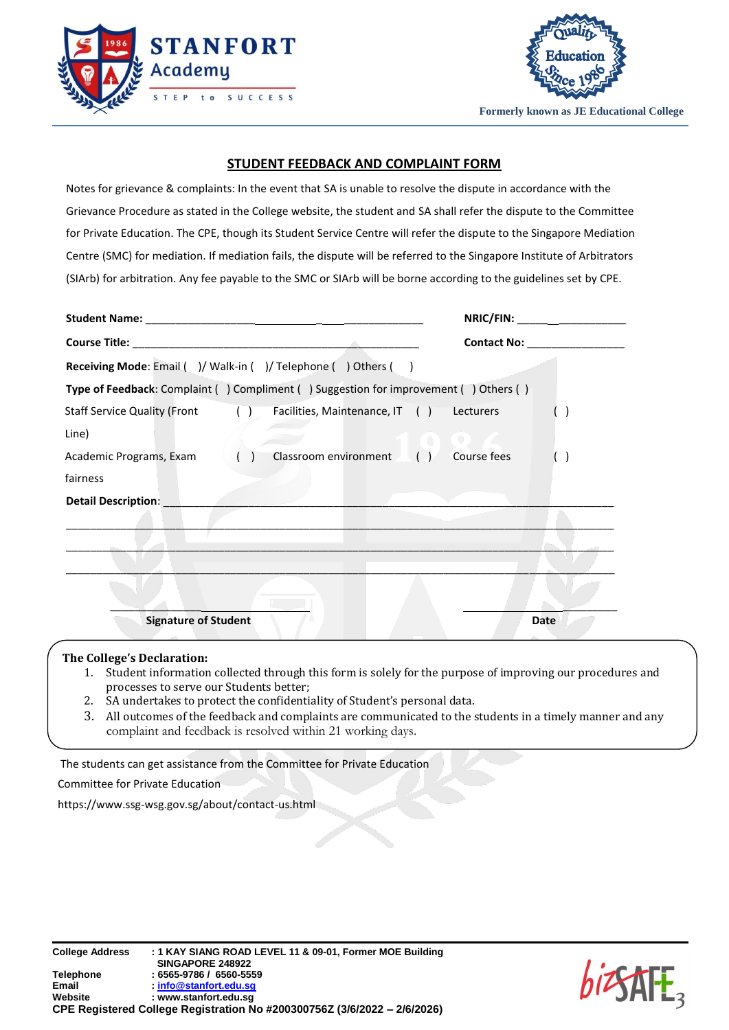



**Formerly known as JE Educational College**

## **STUDENT FEEDBACK AND COMPLAINT FORM**

Notes for grievance & complaints: In the event that SA is unable to resolve the dispute in accordance with the Grievance Procedure as stated in the College website, the student and SA shall refer the dispute to the Committee for Private Education. The CPE, though its Student Service Centre will refer the dispute to the Singapore Mediation Centre (SMC) for mediation. If mediation fails, the dispute will be referred to the Singapore Institute of Arbitrators (SIArb) for arbitration. Any fee payable to the SMC or SIArb will be borne according to the guidelines set by CPE.

|                                                                                      | NRIC/FIN: |  |
|--------------------------------------------------------------------------------------|-----------|--|
|                                                                                      |           |  |
| Receiving Mode: Email ( )/ Walk-in ( )/ Telephone ( ) Others ( )                     |           |  |
| Type of Feedback: Complaint () Compliment () Suggestion for improvement () Others () |           |  |
| Staff Service Quality (Front () Facilities, Maintenance, IT () Lecturers             |           |  |
| Line)                                                                                |           |  |
| Classroom environment ( ) Course fees<br>Academic Programs, Exam ()                  |           |  |
| fairness                                                                             |           |  |
| <b>Detail Description:</b>                                                           |           |  |
|                                                                                      |           |  |
|                                                                                      |           |  |
|                                                                                      |           |  |
|                                                                                      |           |  |
| <b>Signature of Student</b>                                                          | Date      |  |

## **The College's Declaration:**

- 1. Student information collected through this form is solely for the purpose of improving our procedures and processes to serve our Students better;
- 2. SA undertakes to protect the confidentiality of Student's personal data.
- 3. All outcomes of the feedback and complaints are communicated to the students in a timely manner and any complaint and feedback is resolved within 21 working days.

The students can get assistance from the Committee for Private Education

Committee for Private Education

https://www.ssg-wsg.gov.sg/about/contact-us.html